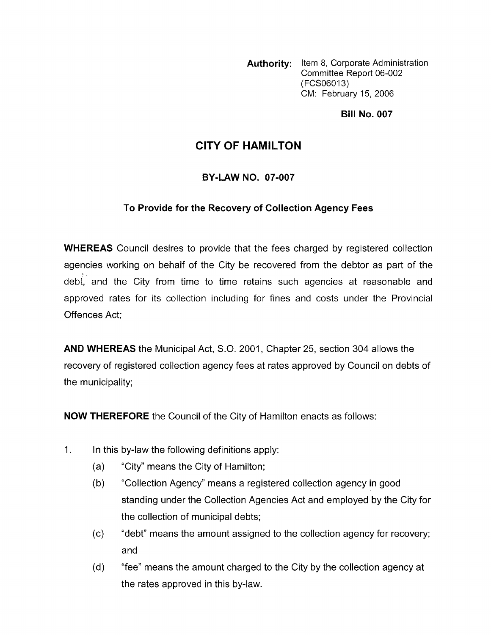**Authority:** Item 8, Corporate Administration Committee Report 06-002 (FCSO6013) CM: February 15, 2006

**Bill No. 007** 

## **CITY OF HAMILTON**

## **BY-LAW NO. 07-007**

## **To Provide for the Recovery of Collection Agency Fees**

**WHEREAS** Council desires to provide that the fees charged by registered collection agencies working on behalf of the City be recovered from the debtor as part of the debt, and the City from time to time retains such agencies at reasonable and approved rates for its collection including for fines and costs under the Provincial Offences Act;

**AND WHEREAS** the Municipal Act, S.O. 2001, Chapter 25, section 304 allows the recovery of registered collection agency fees at rates approved by Council on debts of the municipality;

**NOW THEREFORE** the Council of the City of Hamilton enacts as follows:

- $1.$ In this by-law the following definitions apply:
	- (a) "City" means the City of Hamilton;
	- (b) "Collection Agency" means a registered collection agency in good standing under the Collection Agencies Act and employed by the City for the collection of municipal debts;
	- "debt" means the amount assigned to the collection agency for recovery; and (c)
	- "fee" means the amount charged to the City by the collection agency at the rates approved in this by-law. (d)